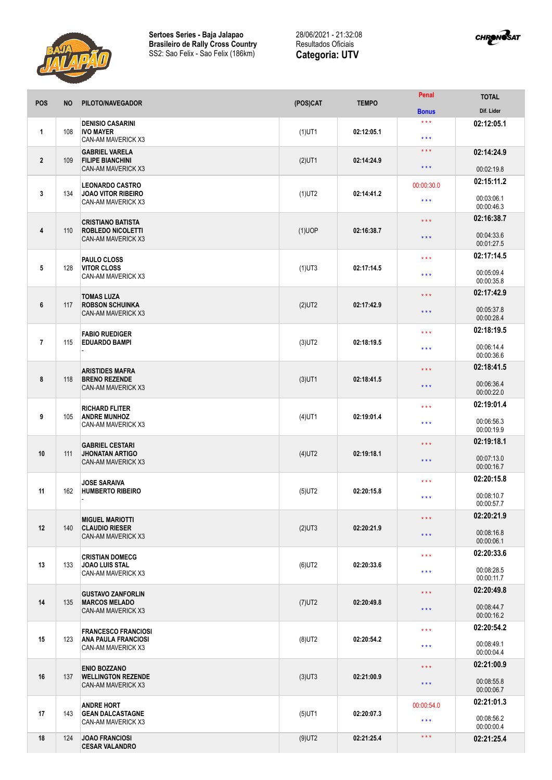



| <b>POS</b>     | <b>NO</b> | PILOTO/NAVEGADOR                                                               | (POS)CAT  | <b>TEMPO</b> | Penal               | <b>TOTAL</b>             |
|----------------|-----------|--------------------------------------------------------------------------------|-----------|--------------|---------------------|--------------------------|
|                |           |                                                                                |           |              | <b>Bonus</b>        | Dif. Lider               |
| $\mathbf{1}$   | 108       | <b>DENISIO CASARINI</b><br><b>IVO MAYER</b><br>CAN-AM MAVERICK X3              | $(1)$ UT1 | 02:12:05.1   | $***$<br>$***$      | 02:12:05.1               |
| $\overline{2}$ | 109       | <b>GABRIEL VARELA</b><br><b>FILIPE BIANCHINI</b>                               | $(2)$ UT1 | 02:14:24.9   | * * *               | 02:14:24.9               |
|                |           | <b>CAN-AM MAVERICK X3</b>                                                      |           |              | $***$               | 00:02:19.8               |
|                |           | <b>LEONARDO CASTRO</b>                                                         |           | 02:14:41.2   | 00:00:30.0          | 02:15:11.2               |
| 3              | 134       | <b>JOAO VITOR RIBEIRO</b><br>CAN-AM MAVERICK X3                                | $(1)$ UT2 |              | $***$               | 00:03:06.1<br>00:00:46.3 |
|                |           | <b>CRISTIANO BATISTA</b>                                                       |           | 02:16:38.7   | $***$               | 02:16:38.7               |
| 4              | 110       | <b>ROBLEDO NICOLETTI</b><br><b>CAN-AM MAVERICK X3</b>                          | $(1)$ UOP |              | $\star \star \star$ | 00:04:33.6<br>00:01:27.5 |
|                |           | PAULO CLOSS                                                                    |           |              | $***$               | 02:17:14.5               |
| 5              | 128       | <b>VITOR CLOSS</b><br>CAN-AM MAVERICK X3                                       | $(1)$ UT3 | 02:17:14.5   | $***$               | 00:05:09.4<br>00:00:35.8 |
|                |           | <b>TOMAS LUZA</b>                                                              |           |              | $***$               | 02:17:42.9               |
| 6              | 117       | <b>ROBSON SCHUINKA</b><br><b>CAN-AM MAVERICK X3</b>                            | $(2)$ UT2 | 02:17:42.9   | $***$               | 00:05:37.8<br>00:00:28.4 |
|                |           | <b>FABIO RUEDIGER</b>                                                          |           |              | $***$               | 02:18:19.5               |
| $\overline{7}$ | 115       | <b>EDUARDO BAMPI</b>                                                           | $(3)$ UT2 | 02:18:19.5   | * * *               | 00:06:14.4<br>00:00:36.6 |
|                |           | <b>ARISTIDES MAFRA</b>                                                         |           |              | $***$               | 02:18:41.5               |
| 8              | 118       | <b>BRENO REZENDE</b><br>CAN-AM MAVERICK X3                                     | $(3)$ UT1 | 02:18:41.5   | $***$               | 00:06:36.4<br>00:00:22.0 |
|                |           | <b>RICHARD FLITER</b>                                                          |           |              | $***$               | 02:19:01.4               |
| 9              | 105       | <b>ANDRE MUNHOZ</b><br><b>CAN-AM MAVERICK X3</b>                               | $(4)$ UT1 | 02:19:01.4   | $***$               | 00:06:56.3<br>00:00:19.9 |
|                |           | <b>GABRIEL CESTARI</b>                                                         |           | 02:19:18.1   | $***$               | 02:19:18.1               |
| 10             | 111       | <b>JHONATAN ARTIGO</b><br>CAN-AM MAVERICK X3                                   | $(4)$ UT2 |              | $***$               | 00:07:13.0<br>00:00:16.7 |
|                |           | <b>JOSE SARAIVA</b>                                                            |           | 02:20:15.8   | $***$               | 02:20:15.8               |
| 11             | 162       | <b>HUMBERTO RIBEIRO</b>                                                        | $(5)$ UT2 |              | $***$               | 00:08:10.7<br>00:00:57.7 |
|                |           |                                                                                |           |              | $***$               | 02:20:21.9               |
| 12             | 140       | <b>MIGUEL MARIOTTI</b><br><b>CLAUDIO RIESER</b><br>CAN-AM MAVERICK X3          | $(2)$ UT3 | 02:20:21.9   |                     | 00:08:16.8               |
|                |           |                                                                                |           |              | $***$               | 00:00:06.1               |
|                | 133       | <b>CRISTIAN DOMECG</b><br><b>JOAO LUIS STAL</b><br>CAN-AM MAVERICK X3          | $(6)$ UT2 | 02:20:33.6   | $***$               | 02:20:33.6               |
| 13             |           |                                                                                |           |              | $***$               | 00:08:28.5<br>00:00:11.7 |
|                | 135       | <b>GUSTAVO ZANFORLIN</b><br><b>MARCOS MELADO</b><br><b>CAN-AM MAVERICK X3</b>  | $(7)$ UT2 | 02:20:49.8   | $\star \star \star$ | 02:20:49.8               |
| 14             |           |                                                                                |           |              | $\star \star \star$ | 00:08:44.7<br>00:00:16.2 |
|                | 123       | <b>FRANCESCO FRANCIOSI</b><br><b>ANA PAULA FRANCIOSI</b><br>CAN-AM MAVERICK X3 | $(8)$ UT2 | 02:20:54.2   | $***$               | 02:20:54.2               |
| 15             |           |                                                                                |           |              | $***$               | 00:08:49.1<br>00:00:04.4 |
| 16             | 137       | <b>ENIO BOZZANO</b><br><b>WELLINGTON REZENDE</b><br>CAN-AM MAVERICK X3         | $(3)$ UT3 | 02:21:00.9   | $***$               | 02:21:00.9               |
|                |           |                                                                                |           |              | $***$               | 00:08:55.8<br>00:00:06.7 |
|                |           | <b>ANDRE HORT</b>                                                              |           | 02:20:07.3   | 00:00:54.0          | 02:21:01.3               |
| 17             | 143       | <b>GEAN DALCASTAGNE</b><br>CAN-AM MAVERICK X3                                  | $(5)$ UT1 |              | $***$               | 00:08:56.2<br>00:00:00.4 |
| 18             | 124       | <b>JOAO FRANCIOSI</b><br><b>CESAR VALANDRO</b>                                 | $(9)$ UT2 | 02:21:25.4   | $\star \star \star$ | 02:21:25.4               |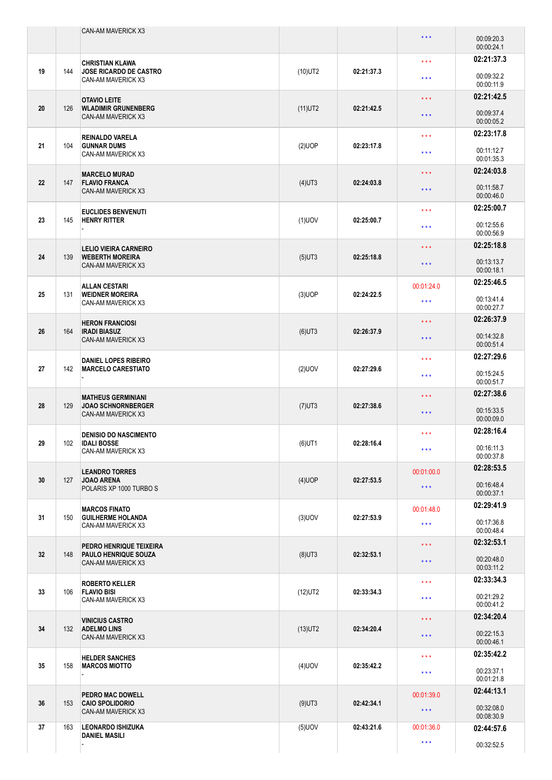|    |     | CAN-AM MAVERICK X3                                                                                                       |                        |                          | $***$                                 | 00:09:20.3<br>00:00:24.1 |
|----|-----|--------------------------------------------------------------------------------------------------------------------------|------------------------|--------------------------|---------------------------------------|--------------------------|
| 19 | 144 | <b>CHRISTIAN KLAWA</b><br><b>JOSE RICARDO DE CASTRO</b><br>CAN-AM MAVERICK X3                                            | $(10)$ UT2             | 02:21:37.3               | $\star$ $\star$ $\star$               | 02:21:37.3               |
|    |     |                                                                                                                          |                        |                          | $***$                                 | 00:09:32.2<br>00:00:11.9 |
| 20 | 126 | <b>OTAVIO LEITE</b><br><b>WLADIMIR GRUNENBERG</b><br>CAN-AM MAVERICK X3                                                  | $(11)$ UT2             | 02:21:42.5               | $\star$ $\star$ $\star$               | 02:21:42.5               |
|    |     |                                                                                                                          |                        |                          | $***$                                 | 00:09:37.4<br>00:00:05.2 |
| 21 | 104 | <b>REINALDO VARELA</b><br><b>GUNNAR DUMS</b>                                                                             | (2)UOP                 | 02:23:17.8               | $***$                                 | 02:23:17.8               |
|    |     | CAN-AM MAVERICK X3                                                                                                       |                        |                          | $***$                                 | 00:11:12.7<br>00:01:35.3 |
| 22 | 147 | <b>MARCELO MURAD</b><br><b>FLAVIO FRANCA</b>                                                                             | $(4)$ UT3              | 02:24:03.8               | $\star$ $\star$ $\star$               | 02:24:03.8               |
|    |     | CAN-AM MAVERICK X3                                                                                                       |                        |                          | $***$                                 | 00:11:58.7<br>00:00:46.0 |
| 23 | 145 | <b>EUCLIDES BENVENUTI</b><br><b>HENRY RITTER</b>                                                                         | $(1)$ UOV              | 02:25:00.7               | $\star$ $\star$ $\star$               | 02:25:00.7<br>00:12:55.6 |
|    |     |                                                                                                                          |                        |                          | $***$                                 | 00:00:56.9               |
| 24 | 139 | <b>LELIO VIEIRA CARNEIRO</b><br><b>WEBERTH MOREIRA</b>                                                                   | $(5)$ UT3              | 02:25:18.8               | $\star \star \star$                   | 02:25:18.8<br>00:13:13.7 |
|    |     | CAN-AM MAVERICK X3                                                                                                       |                        |                          | $***$                                 | 00:00:18.1               |
| 25 | 131 | <b>ALLAN CESTARI</b><br><b>WEIDNER MOREIRA</b>                                                                           | $(3)$ UOP              | 02:24:22.5               | 00:01:24.0                            | 02:25:46.5<br>00:13:41.4 |
|    |     | CAN-AM MAVERICK X3                                                                                                       |                        |                          | $***$                                 | 00:00:27.7<br>02:26:37.9 |
| 26 | 164 | <b>HERON FRANCIOSI</b><br><b>IRADI BIASUZ</b>                                                                            | $(6)$ UT3              | 02:26:37.9               | $***$<br>$***$                        | 00:14:32.8               |
|    |     | CAN-AM MAVERICK X3<br><b>DANIEL LOPES RIBEIRO</b><br><b>MARCELO CARESTIATO</b>                                           |                        |                          | $***$                                 | 00:00:51.4<br>02:27:29.6 |
| 27 | 142 |                                                                                                                          | $(2)$ UOV              | 02:27:29.6               | $\star$ $\star$ $\star$               | 00:15:24.5               |
|    |     |                                                                                                                          |                        |                          | $\star$ $\star$ $\star$               | 00:00:51.7<br>02:27:38.6 |
| 28 | 129 | <b>MATHEUS GERMINIANI</b><br><b>JOAO SCHNORNBERGER</b><br><b>CAN-AM MAVERICK X3</b>                                      | $(7)$ UT3              | 02:27:38.6               | $\star$ $\star$ $\star$               | 00:15:33.5<br>00:00:09.0 |
|    |     | <b>DENISIO DO NASCIMENTO</b>                                                                                             |                        |                          | $\star$ $\star$ $\star$               | 02:28:16.4               |
| 29 | 102 | <b>IDALI BOSSE</b><br>CAN-AM MAVERICK X3                                                                                 | $(6)$ UT1              | 02:28:16.4               | $\star$ $\star$ $\star$               | 00:16:11.3<br>00:00:37.8 |
| 30 | 127 | <b>LEANDRO TORRES</b><br><b>JOAO ARENA</b>                                                                               | $(4)$ UOP              | 02:27:53.5               | 00:01:00.0                            | 02:28:53.5               |
|    |     | POLARIS XP 1000 TURBO S                                                                                                  |                        |                          | $\star$ $\star$ $\star$               | 00:16:48.4<br>00:00:37.1 |
| 31 | 150 | <b>MARCOS FINATO</b><br><b>GUILHERME HOLANDA</b>                                                                         | $(3)$ UOV              | 02:27:53.9               | 00:01:48.0                            | 02:29:41.9               |
|    |     | CAN-AM MAVERICK X3                                                                                                       |                        |                          | $\star$ $\star$ $\star$               | 00:17:36.8<br>00:00:48.4 |
| 32 | 148 | PEDRO HENRIQUE TEIXEIRA<br><b>PAULO HENRIQUE SOUZA</b><br>CAN-AM MAVERICK X3                                             | $(8)$ UT3              | 02:32:53.1               | $***$                                 | 02:32:53.1<br>00:20:48.0 |
|    |     |                                                                                                                          |                        |                          | $\star$ $\star$ $\star$               | 00:03:11.2               |
| 33 | 106 | <b>ROBERTO KELLER</b><br><b>FLAVIO BISI</b><br>CAN-AM MAVERICK X3                                                        | $(12)$ UT2             | 02:33:34.3               | $\star\star\star$                     | 02:33:34.3<br>00:21:29.2 |
|    |     |                                                                                                                          |                        |                          | $***$                                 | 00:00:41.2               |
| 34 | 132 | <b>VINICIUS CASTRO</b><br><b>ADELMO LINS</b><br>CAN-AM MAVERICK X3                                                       | $(13)$ UT2             | 02:34:20.4               | $\star$ $\star$ $\star$               | 02:34:20.4<br>00:22:15.3 |
|    |     |                                                                                                                          |                        |                          | $\star$ $\star$ $\star$               | 00:00:46.1<br>02:35:42.2 |
| 35 | 158 | <b>HELDER SANCHES</b><br><b>MARCOS MIOTTO</b><br><b>PEDRO MAC DOWELL</b><br><b>CAIO SPOLIDORIO</b><br>CAN-AM MAVERICK X3 | $(4)$ UOV<br>$(9)$ UT3 | 02:35:42.2<br>02:42:34.1 | $\star$ $\star$ $\star$<br>$***$      | 00:23:37.1               |
|    |     |                                                                                                                          |                        |                          |                                       | 00:01:21.8<br>02:44:13.1 |
| 36 | 153 |                                                                                                                          |                        |                          | 00:01:39.0<br>$\star$ $\star$ $\star$ | 00:32:08.0               |
| 37 | 163 | <b>LEONARDO ISHIZUKA</b>                                                                                                 | $(5)$ UOV              | 02:43:21.6               | 00:01:36.0                            | 00:08:30.9<br>02:44:57.6 |
|    |     | <b>DANIEL MASILI</b>                                                                                                     |                        |                          | $\star$ $\star$ $\star$               | 00:32:52.5               |